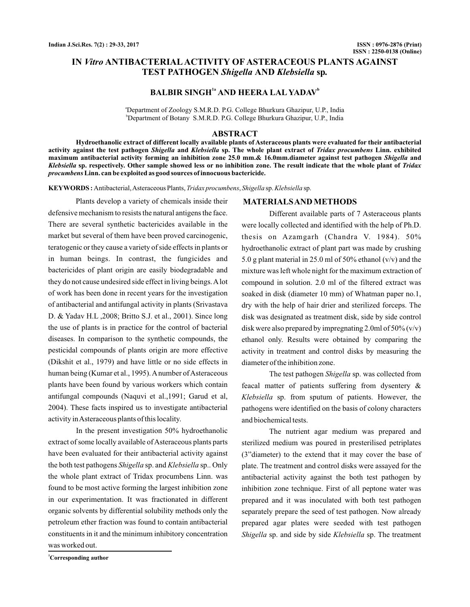# IN *Vitro* ANTIBACTERIAL ACTIVITY OF ASTERACEOUS PLANTS AGAINST **TEST PATHOGEN Shigella AND Klebsiella sp.**

# **BALBIR SINGH<sup>1ª</sup> AND HEERA LAL YADAV<sup>b</sup>**

a Department of Zoology S.M.R.D. P.G. College Bhurkura Ghazipur, U.P., India b Department of Botany S.M.R.D. P.G. College Bhurkura Ghazipur, U.P., India

### **ABSTRACT**

**Hydroethanolic extract of different locally available plants of Asteraceous plants were evaluated for their antibacterial** activity against the test pathogen *Shigella* and *Klebsiella* sp. The whole plant extract of *Tridax procumbens* Linn. exhibited maximum antibacterial activity forming an inhibition zone 25.0 mm.& 16.0mm.diameter against test pathogen *Shigella* and Kl*ebsiella* sp. respectively. Other sample showed less or no inhibition zone. The result indicate that the whole plant of *Tridax* **Linn. can be exploited as good sources of innocuous bactericide.** *procumbens*

KEYWORDS: Antibacterial, Asteraceous Plants, *Tridax procumbens*, *Shigella* sp. Klebsiella sp.

Plants develop a variety of chemicals inside their defensive mechanism to resists the natural antigens the face. There are several synthetic bactericides available in the market but several of them have been proved carcinogenic, teratogenic or they cause a variety of side effects in plants or in human beings. In contrast, the fungicides and bactericides of plant origin are easily biodegradable and they do not cause undesired side effect in living beings.Alot of work has been done in recent years for the investigation of antibacterial and antifungal activity in plants (Srivastava D. & Yadav H.L ,2008; Britto S.J. et al., 2001). Since long the use of plants is in practice for the control of bacterial diseases. In comparison to the synthetic compounds, the pesticidal compounds of plants origin are more effective (Dikshit et al., 1979) and have little or no side effects in human being (Kumar et al., 1995). A number of Asteraceous plants have been found by various workers which contain antifungal compounds (Naquvi et al.,1991; Garud et al, 2004). These facts inspired us to investigate antibacterial activity inAsteraceous plants of this locality.

In the present investigation 50% hydroethanolic extract of some locally available of Asteraceous plants parts have been evaluated for their antibacterial activity against the both test pathogens *Shigella* sp. and *Klebsiella* sp.. Only the whole plant extract of Tridax procumbens Linn. was found to be most active forming the largest inhibition zone in our experimentation. It was fractionated in different organic solvents by differential solubility methods only the petroleum ether fraction was found to contain antibacterial constituents in it and the minimum inhibitory concentration was worked out.

**MATERIALSAND METHODS**

Different available parts of 7 Asteraceous plants were locally collected and identified with the help of Ph.D. thesis on Azamgarh (Chandra V. 1984). 50% hydroethanolic extract of plant part was made by crushing 5.0 g plant material in 25.0 ml of 50% ethanol (v/v) and the mixture was left whole night for the maximum extraction of compound in solution. 2.0 ml of the filtered extract was soaked in disk (diameter 10 mm) of Whatman paper no.1, dry with the help of hair drier and sterilized forceps. The disk was designated as treatment disk, side by side control disk were also prepared by impregnating 2.0ml of  $50\%$  (v/v) ethanol only. Results were obtained by comparing the activity in treatment and control disks by measuring the diameter of the inhibition zone.

The test pathogen Shigella sp. was collected from feacal matter of patients suffering from dysentery & Klebsiella sp. from sputum of patients. However, the pathogens were identified on the basis of colony characters and biochemical tests.

The nutrient agar medium was prepared and sterilized medium was poured in presterilised petriplates (3"diameter) to the extend that it may cover the base of plate. The treatment and control disks were assayed for the antibacterial activity against the both test pathogen by inhibition zone technique. First of all peptone water was prepared and it was inoculated with both test pathogen separately prepare the seed of test pathogen. Now already prepared agar plates were seeded with test pathogen Shigella sp. and side by side Klebsiella sp. The treatment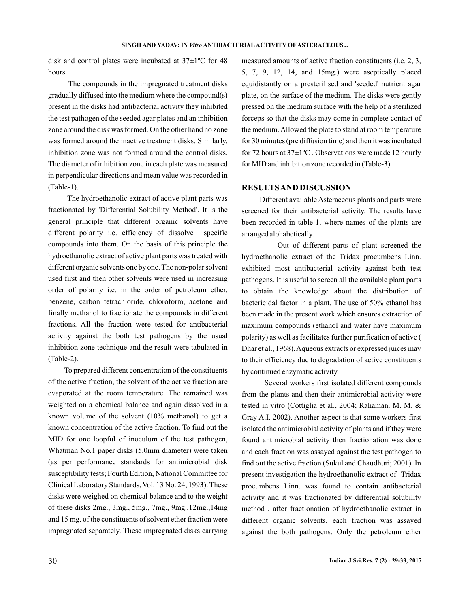disk and control plates were incubated at 37±1ºC for 48 hours.

The compounds in the impregnated treatment disks gradually diffused into the medium where the compound(s) present in the disks had antibacterial activity they inhibited the test pathogen of the seeded agar plates and an inhibition zone around the disk was formed. On the other hand no zone was formed around the inactive treatment disks. Similarly, inhibition zone was not formed around the control disks. The diameter of inhibition zone in each plate was measured in perpendicular directions and mean value was recorded in (Table-1).

The hydroethanolic extract of active plant parts was fractionated by 'Differential Solubility Method'. It is the general principle that different organic solvents have different polarity i.e. efficiency of dissolve specific compounds into them. On the basis of this principle the hydroethanolic extract of active plant parts was treated with different organic solvents one by one. The non-polar solvent used first and then other solvents were used in increasing order of polarity i.e. in the order of petroleum ether, benzene, carbon tetrachloride, chloroform, acetone and finally methanol to fractionate the compounds in different fractions. All the fraction were tested for antibacterial activity against the both test pathogens by the usual inhibition zone technique and the result were tabulated in (Table-2).

To prepared different concentration of the constituents of the active fraction, the solvent of the active fraction are evaporated at the room temperature. The remained was weighted on a chemical balance and again dissolved in a known volume of the solvent (10% methanol) to get a known concentration of the active fraction. To find out the MID for one loopful of inoculum of the test pathogen, Whatman No.1 paper disks (5.0mm diameter) were taken (as per performance standards for antimicrobial disk susceptibility tests; Fourth Edition, National Committee for Clinical Laboratory Standards, Vol. 13 No. 24, 1993). These disks were weighed on chemical balance and to the weight of these disks 2mg., 3mg., 5mg., 7mg., 9mg.,12mg.,14mg and 15 mg. of the constituents of solvent ether fraction were impregnated separately. These impregnated disks carrying

measured amounts of active fraction constituents (i.e. 2, 3, 5, 7, 9, 12, 14, and 15mg.) were aseptically placed equidistantly on a presterilised and 'seeded' nutrient agar plate, on the surface of the medium. The disks were gently pressed on the medium surface with the help of a sterilized forceps so that the disks may come in complete contact of the medium. Allowed the plate to stand at room temperature for 30 minutes (pre diffusion time) and then it was incubated for 72 hours at 37±1ºC . Observations were made 12 hourly for MID and inhibition zone recorded in (Table-3).

### **RESULTSAND DISCUSSION**

Different available Asteraceous plants and parts were screened for their antibacterial activity. The results have been recorded in table-1, where names of the plants are arranged alphabetically.

Out of different parts of plant screened the hydroethanolic extract of the Tridax procumbens Linn. exhibited most antibacterial activity against both test pathogens. It is useful to screen all the available plant parts to obtain the knowledge about the distribution of bactericidal factor in a plant. The use of 50% ethanol has been made in the present work which ensures extraction of maximum compounds (ethanol and water have maximum polarity) as well as facilitates further purification of active ( Dhar et al., 1968).Aqueous extracts or expressed juices may to their efficiency due to degradation of active constituents by continued enzymatic activity.

Several workers first isolated different compounds from the plants and then their antimicrobial activity were tested in vitro (Cottiglia et al., 2004; Rahaman. M. M. & Gray A.I. 2002). Another aspect is that some workers first isolated the antimicrobial activity of plants and if they were found antimicrobial activity then fractionation was done and each fraction was assayed against the test pathogen to find out the active fraction (Sukul and Chaudhuri; 2001). In present investigation the hydroethanolic extract of Tridax procumbens Linn. was found to contain antibacterial activity and it was fractionated by differential solubility method , after fractionation of hydroethanolic extract in different organic solvents, each fraction was assayed against the both pathogens. Only the petroleum ether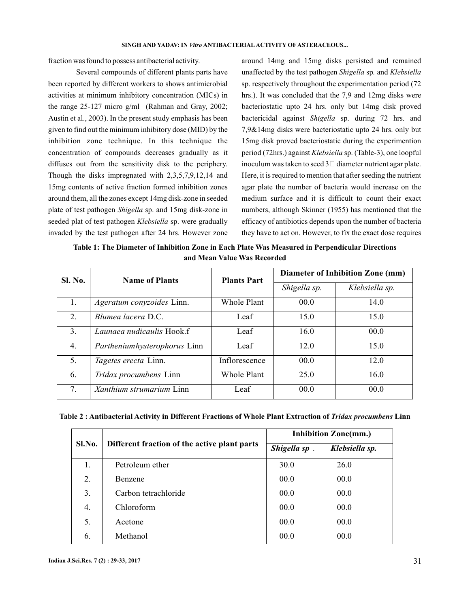fraction was found to possess antibacterial activity.

Several compounds of different plants parts have been reported by different workers to shows antimicrobial activities at minimum inhibitory concentration (MICs) in the range 25-127 micro g/ml (Rahman and Gray, 2002; Austin et al., 2003). In the present study emphasis has been given to find out the minimum inhibitory dose (MID) by the inhibition zone technique. In this technique the concentration of compounds decreases gradually as it diffuses out from the sensitivity disk to the periphery. Though the disks impregnated with 2,3,5,7,9,12,14 and 15mg contents of active fraction formed inhibition zones around them, all the zones except 14mg disk-zone in seeded plate of test pathogen Shigella sp. and 15mg disk-zone in seeded plat of test pathogen Klebsiella sp. were gradually invaded by the test pathogen after 24 hrs. However zone

around 14mg and 15mg disks persisted and remained unaffected by the test pathogen Shigella sp. and Klebsiella sp. respectively throughout the experimentation period (72 hrs.). It was concluded that the 7,9 and 12mg disks were bacteriostatic upto 24 hrs. only but 14mg disk proved bactericidal against Shigella sp. during 72 hrs. and 7,9&14mg disks were bacteriostatic upto 24 hrs. only but 15mg disk proved bacteriostatic during the experimention period (72hrs.) against *Klebsiella* sp. (Table-3), one loopful inoculum was taken to seed  $3\Box$  diameter nutrient agar plate. Here, it is required to mention that after seeding the nutrient agar plate the number of bacteria would increase on the medium surface and it is difficult to count their exact numbers, although Skinner (1955) has mentioned that the efficacy of antibiotics depends upon the number of bacteria they have to act on. However, to fix the exact dose requires

**Table 1: The Diameter of Inhibition Zone in Each Plate Was Measured in Perpendicular Directions and Mean Value Was Recorded**

| <b>Sl. No.</b> | <b>Name of Plants</b>           | <b>Plants Part</b> | <b>Diameter of Inhibition Zone (mm)</b> |                |
|----------------|---------------------------------|--------------------|-----------------------------------------|----------------|
|                |                                 |                    | Shigella sp.                            | Klebsiella sp. |
| 1.             | Ageratum conyzoides Linn.       | Whole Plant        | 00.0                                    | 14.0           |
| 2.             | Blumea lacera D.C.              | Leaf               | 15.0                                    | 15.0           |
| 3.             | Launaea nudicaulis Hook.f       | Leaf               | 16.0                                    | 00.0           |
| 4.             | Partheniumhysterophorus Linn    | Leaf               | 12.0                                    | 15.0           |
| 5.             | Tagetes erecta Linn.            | Inflorescence      | 00.0                                    | 12.0           |
| 6.             | Tridax procumbens Linn          | Whole Plant        | 25.0                                    | 16.0           |
| 7.             | <i>Xanthium strumarium</i> Linn | Leaf               | 00.0                                    | 00.0           |

| Table 2: Antibacterial Activity in Different Fractions of Whole Plant Extraction of Tridax procumbens Linn |  |  |  |
|------------------------------------------------------------------------------------------------------------|--|--|--|
|------------------------------------------------------------------------------------------------------------|--|--|--|

| Sl.No. |                                              | <b>Inhibition Zone(mm.)</b> |                |
|--------|----------------------------------------------|-----------------------------|----------------|
|        | Different fraction of the active plant parts | Shigella sp.                | Klebsiella sp. |
| 1.     | Petroleum ether                              | 30.0                        | 26.0           |
| 2.     | Benzene                                      | 00.0                        | 00.0           |
| 3.     | Carbon tetrachloride                         | 00.0                        | 00.0           |
| 4.     | Chloroform                                   | 00.0                        | 00.0           |
| 5.     | Acetone                                      | 00.0                        | 00.0           |
| 6.     | Methanol                                     | 00.0                        | 00.0           |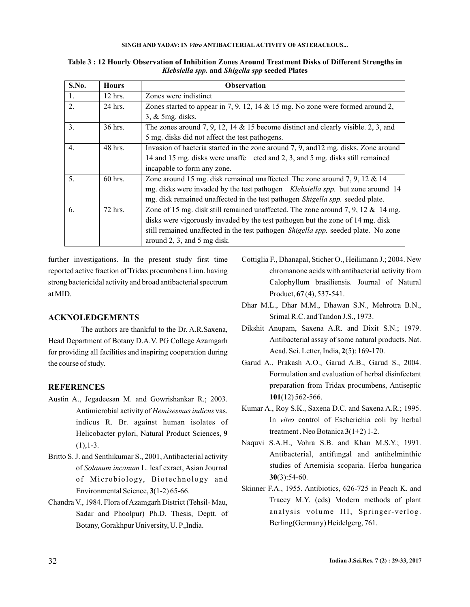#### **SINGH AND YADAV: IN Vitro ANTIBACTERIAL ACTIVITY OF ASTERACEOUS...**

| S.No.            | <b>Hours</b> | <b>Observation</b>                                                                     |
|------------------|--------------|----------------------------------------------------------------------------------------|
| 1.               | $12$ hrs.    | Zones were indistinct                                                                  |
| 2.               | $24$ hrs.    | Zones started to appear in 7, 9, 12, 14 $\&$ 15 mg. No zone were formed around 2,      |
|                  |              | $3, &$ 5mg. disks.                                                                     |
| 3.               | 36 hrs.      | The zones around 7, 9, 12, 14 & 15 become distinct and clearly visible. 2, 3, and      |
|                  |              | 5 mg. disks did not affect the test pathogens.                                         |
| $\overline{4}$ . | 48 hrs.      | Invasion of bacteria started in the zone around 7, 9, and 12 mg. disks. Zone around    |
|                  |              | 14 and 15 mg. disks were unaffe cted and 2, 3, and 5 mg. disks still remained          |
|                  |              | incapable to form any zone.                                                            |
| 5.               | $60$ hrs.    | Zone around 15 mg. disk remained unaffected. The zone around 7, 9, 12 $&$ 14           |
|                  |              | mg. disks were invaded by the test pathogen <i>Klebsiella spp</i> . but zone around 14 |
|                  |              | mg. disk remained unaffected in the test pathogen Shigella spp. seeded plate.          |
| 6.               | 72 hrs.      | Zone of 15 mg, disk still remained unaffected. The zone around 7, 9, 12 $\&$ 14 mg.    |
|                  |              | disks were vigorously invaded by the test pathogen but the zone of 14 mg. disk         |
|                  |              | still remained unaffected in the test pathogen Shigella spp. seeded plate. No zone     |
|                  |              | around 2, 3, and 5 mg disk.                                                            |

### **Table 3 : 12 Hourly Observation of Inhibition Zones Around Treatment Disks of Different Strengths in Klebsiella spp. and Shigella spp seeded Plates**

further investigations. In the present study first time reported active fraction of Tridax procumbens Linn. having strong bactericidal activity and broad antibacterial spectrum at MID.

## **ACKNOLEDGEMENTS**

The authors are thankful to the Dr. A.R.Saxena, Head Department of Botany D.A.V. PG College Azamgarh for providing all facilities and inspiring cooperation during the course of study.

## **REFERENCES**

- Austin A., Jegadeesan M. and Gowrishankar R.; 2003. Antimicrobial activity of Hemisesmus indicus vas. indicus R. Br. against human isolates of Helicobacter pylori, Natural Product Sciences, **9**  $(1),1-3.$
- Britto S. J. and Senthikumar S., 2001, Antibacterial activity of Solanum incanum L. leaf exract, Asian Journal of Microbiology, Biotechnology and Environmental Science,  $3(1-2)$  65-66.
- Chandra V., 1984. Flora of Azamgarh District (Tehsil- Mau, Sadar and Phoolpur) Ph.D. Thesis, Deptt. of Botany, Gorakhpur University, U. P.,India.
- Cottiglia F., Dhanapal, Sticher O., Heilimann J.; 2004. New chromanone acids with antibacterial activity from Calophyllum brasiliensis. Journal of Natural Product, **67** (4), 537-541.
- Dhar M.L., Dhar M.M., Dhawan S.N., Mehrotra B.N., Srimal R.C. and Tandon J.S., 1973.
- Dikshit Anupam, Saxena A.R. and Dixit S.N.; 1979. Antibacterial assay of some natural products. Nat. Acad. Sci. Letter, India, 2(5): 169-170.
- Garud A., Prakash A.O., Garud A.B., Garud S., 2004. Formulation and evaluation of herbal disinfectant preparation from Tridax procumbens, Antiseptic (12) 562-566. **101**
- Kumar A., Roy S.K., Saxena D.C. and Saxena A.R.; 1995. In vitro control of Escherichia coli by herbal treatment. Neo Botanica  $3(1+2)$  1-2.
- Naquvi S.A.H., Vohra S.B. and Khan M.S.Y.; 1991. Antibacterial, antifungal and antihelminthic studies of Artemisia scoparia. Herba hungarica (3):54-60. **30**
- Skinner F.A., 1955. Antibiotics, 626-725 in Peach K. and Tracey M.Y. (eds) Modern methods of plant analysis volume III, Springer-verlog. Berling(Germany) Heidelgerg, 761.